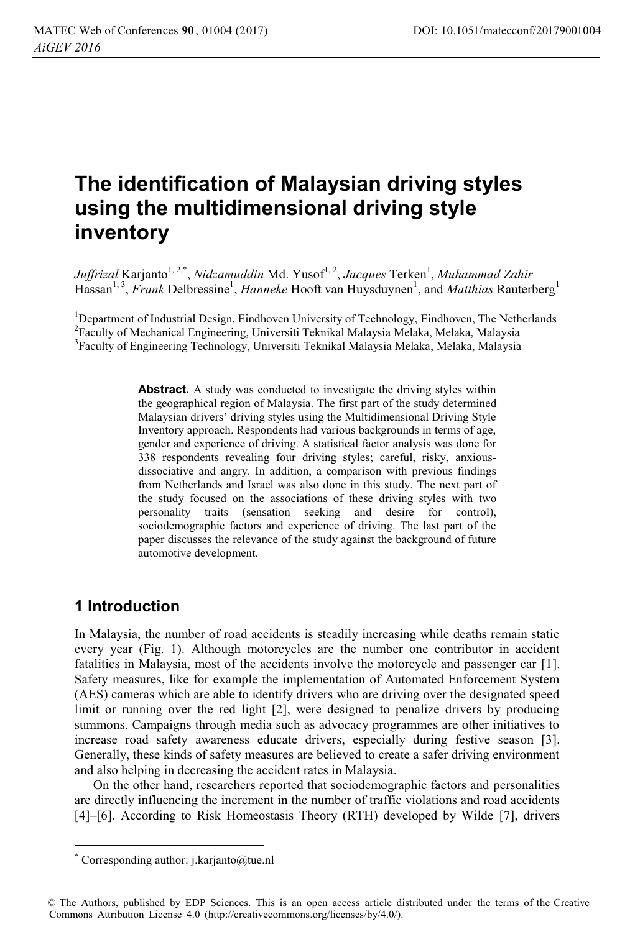# **The identification of Malaysian driving styles using the multidimensional driving style inventory**

*Juffrizal* Karjanto<sup>1, 2,\*</sup>, *Nidzamuddin* Md. Yusof<sup>1, 2</sup>, *Jacques* Terken<sup>1</sup>, *Muhammad Zahir* Hassan<sup>1, 3</sup>, *Frank* Delbressine<sup>1</sup>, *Hanneke* Hooft van Huysduynen<sup>1</sup>, and *Matthias* Rauterberg<sup>1</sup>

<sup>1</sup>Department of Industrial Design, Eindhoven University of Technology, Eindhoven, The Netherlands<br><sup>2</sup>Eaculty of Mechanical Engineering, Universiti Teknikal Malaysia Malaka, Malaka, Malaysia <sup>2</sup> Faculty of Mechanical Engineering, Universiti Teknikal Malaysia Melaka, Melaka, Malaysia <sup>3</sup>Faculty of Engineering Technology, Universiti Teknikal Malaysia Melaka, Melaka, Malaysia

> **Abstract.** A study was conducted to investigate the driving styles within the geographical region of Malaysia. The first part of the study determined Malaysian drivers' driving styles using the Multidimensional Driving Style Inventory approach. Respondents had various backgrounds in terms of age, gender and experience of driving. A statistical factor analysis was done for 338 respondents revealing four driving styles; careful, risky, anxiousdissociative and angry. In addition, a comparison with previous findings from Netherlands and Israel was also done in this study. The next part of the study focused on the associations of these driving styles with two personality traits (sensation seeking and desire for control), sociodemographic factors and experience of driving. The last part of the paper discusses the relevance of the study against the background of future automotive development.

# **1 Introduction**

 $\overline{a}$ 

In Malaysia, the number of road accidents is steadily increasing while deaths remain static every year (Fig. 1). Although motorcycles are the number one contributor in accident fatalities in Malaysia, most of the accidents involve the motorcycle and passenger car [1]. Safety measures, like for example the implementation of Automated Enforcement System (AES) cameras which are able to identify drivers who are driving over the designated speed limit or running over the red light [2], were designed to penalize drivers by producing summons. Campaigns through media such as advocacy programmes are other initiatives to increase road safety awareness educate drivers, especially during festive season [3]. Generally, these kinds of safety measures are believed to create a safer driving environment and also helping in decreasing the accident rates in Malaysia.

On the other hand, researchers reported that sociodemographic factors and personalities are directly influencing the increment in the number of traffic violations and road accidents [4]–[6]. According to Risk Homeostasis Theory (RTH) developed by Wilde [7], drivers

<sup>\*</sup> Corresponding author: j.karjanto@tue.nl

<sup>©</sup> The Authors, published by EDP Sciences. This is an open access article distributed under the terms of the Creative Commons Attribution License 4.0 (http://creativecommons.org/licenses/by/4.0/).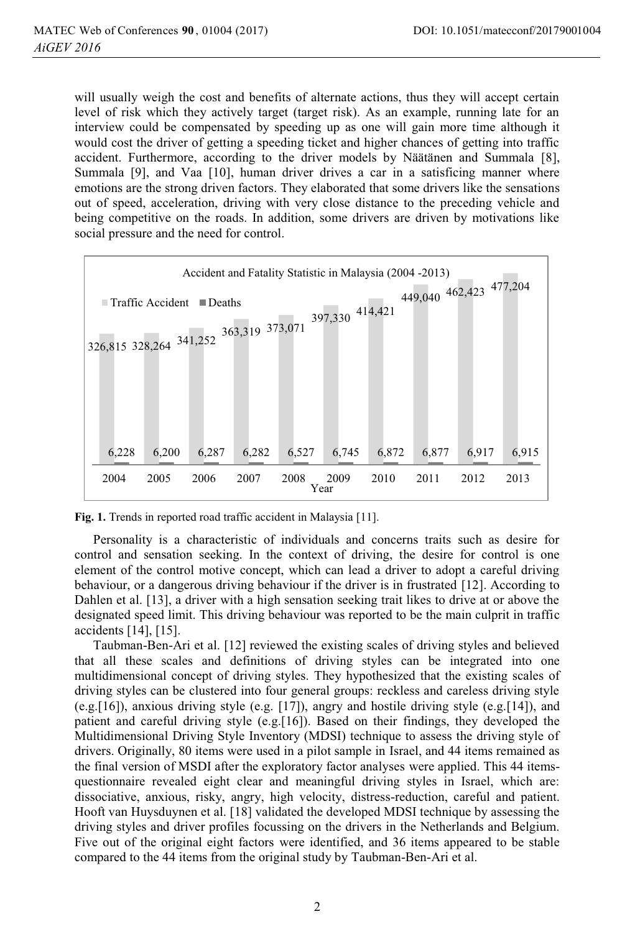will usually weigh the cost and benefits of alternate actions, thus they will accept certain level of risk which they actively target (target risk). As an example, running late for an interview could be compensated by speeding up as one will gain more time although it would cost the driver of getting a speeding ticket and higher chances of getting into traffic accident. Furthermore, according to the driver models by Näätänen and Summala [8], Summala [9], and Vaa [10], human driver drives a car in a satisficing manner where emotions are the strong driven factors. They elaborated that some drivers like the sensations out of speed, acceleration, driving with very close distance to the preceding vehicle and being competitive on the roads. In addition, some drivers are driven by motivations like social pressure and the need for control.



**Fig. 1.** Trends in reported road traffic accident in Malaysia [11].

Personality is a characteristic of individuals and concerns traits such as desire for control and sensation seeking. In the context of driving, the desire for control is one element of the control motive concept, which can lead a driver to adopt a careful driving behaviour, or a dangerous driving behaviour if the driver is in frustrated [12]. According to Dahlen et al. [13], a driver with a high sensation seeking trait likes to drive at or above the designated speed limit. This driving behaviour was reported to be the main culprit in traffic accidents [14], [15].

Taubman-Ben-Ari et al. [12] reviewed the existing scales of driving styles and believed that all these scales and definitions of driving styles can be integrated into one multidimensional concept of driving styles. They hypothesized that the existing scales of driving styles can be clustered into four general groups: reckless and careless driving style (e.g.[16]), anxious driving style (e.g. [17]), angry and hostile driving style (e.g.[14]), and patient and careful driving style (e.g.[16]). Based on their findings, they developed the Multidimensional Driving Style Inventory (MDSI) technique to assess the driving style of drivers. Originally, 80 items were used in a pilot sample in Israel, and 44 items remained as the final version of MSDI after the exploratory factor analyses were applied. This 44 itemsquestionnaire revealed eight clear and meaningful driving styles in Israel, which are: dissociative, anxious, risky, angry, high velocity, distress-reduction, careful and patient. Hooft van Huysduynen et al. [18] validated the developed MDSI technique by assessing the driving styles and driver profiles focussing on the drivers in the Netherlands and Belgium. Five out of the original eight factors were identified, and 36 items appeared to be stable compared to the 44 items from the original study by Taubman-Ben-Ari et al.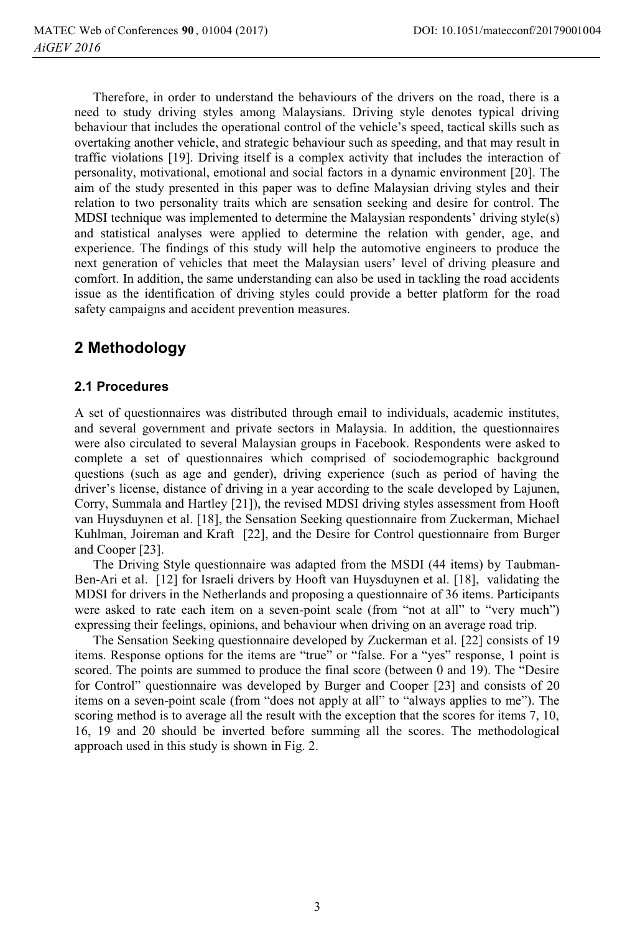Therefore, in order to understand the behaviours of the drivers on the road, there is a need to study driving styles among Malaysians. Driving style denotes typical driving behaviour that includes the operational control of the vehicle's speed, tactical skills such as overtaking another vehicle, and strategic behaviour such as speeding, and that may result in traffic violations [19]. Driving itself is a complex activity that includes the interaction of personality, motivational, emotional and social factors in a dynamic environment [20]. The aim of the study presented in this paper was to define Malaysian driving styles and their relation to two personality traits which are sensation seeking and desire for control. The MDSI technique was implemented to determine the Malaysian respondents' driving style(s) and statistical analyses were applied to determine the relation with gender, age, and experience. The findings of this study will help the automotive engineers to produce the next generation of vehicles that meet the Malaysian users' level of driving pleasure and comfort. In addition, the same understanding can also be used in tackling the road accidents issue as the identification of driving styles could provide a better platform for the road safety campaigns and accident prevention measures.

# **2 Methodology**

### **2.1 Procedures**

A set of questionnaires was distributed through email to individuals, academic institutes, and several government and private sectors in Malaysia. In addition, the questionnaires were also circulated to several Malaysian groups in Facebook. Respondents were asked to complete a set of questionnaires which comprised of sociodemographic background questions (such as age and gender), driving experience (such as period of having the driver's license, distance of driving in a year according to the scale developed by Lajunen, Corry, Summala and Hartley [21]), the revised MDSI driving styles assessment from Hooft van Huysduynen et al. [18], the Sensation Seeking questionnaire from Zuckerman, Michael Kuhlman, Joireman and Kraft [22], and the Desire for Control questionnaire from Burger and Cooper [23].

The Driving Style questionnaire was adapted from the MSDI (44 items) by Taubman-Ben-Ari et al. [12] for Israeli drivers by Hooft van Huysduynen et al. [18], validating the MDSI for drivers in the Netherlands and proposing a questionnaire of 36 items. Participants were asked to rate each item on a seven-point scale (from "not at all" to "very much") expressing their feelings, opinions, and behaviour when driving on an average road trip.

The Sensation Seeking questionnaire developed by Zuckerman et al. [22] consists of 19 items. Response options for the items are "true" or "false. For a "yes" response, 1 point is scored. The points are summed to produce the final score (between 0 and 19). The "Desire for Control" questionnaire was developed by Burger and Cooper [23] and consists of 20 items on a seven-point scale (from "does not apply at all" to "always applies to me"). The scoring method is to average all the result with the exception that the scores for items 7, 10, 16, 19 and 20 should be inverted before summing all the scores. The methodological approach used in this study is shown in Fig. 2.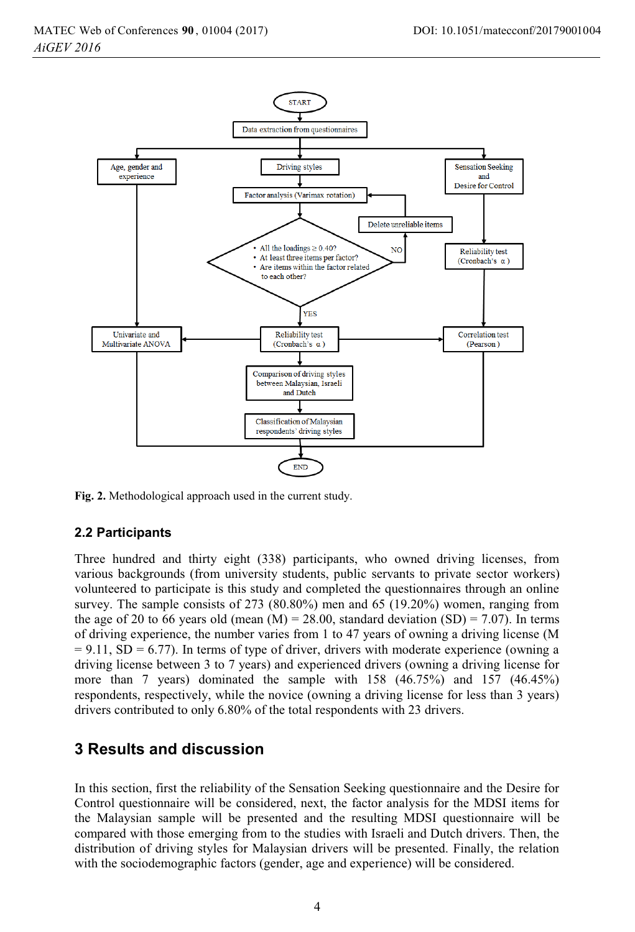

**Fig. 2.** Methodological approach used in the current study.

#### **2.2 Participants**

Three hundred and thirty eight (338) participants, who owned driving licenses, from various backgrounds (from university students, public servants to private sector workers) volunteered to participate is this study and completed the questionnaires through an online survey. The sample consists of 273 (80.80%) men and 65 (19.20%) women, ranging from the age of 20 to 66 years old (mean  $(M) = 28.00$ , standard deviation  $(SD) = 7.07$ ). In terms of driving experience, the number varies from 1 to 47 years of owning a driving license (M  $= 9.11$ , SD  $= 6.77$ ). In terms of type of driver, drivers with moderate experience (owning a driving license between 3 to 7 years) and experienced drivers (owning a driving license for more than 7 years) dominated the sample with 158 (46.75%) and 157 (46.45%) respondents, respectively, while the novice (owning a driving license for less than 3 years) drivers contributed to only 6.80% of the total respondents with 23 drivers.

### **3 Results and discussion**

In this section, first the reliability of the Sensation Seeking questionnaire and the Desire for Control questionnaire will be considered, next, the factor analysis for the MDSI items for the Malaysian sample will be presented and the resulting MDSI questionnaire will be compared with those emerging from to the studies with Israeli and Dutch drivers. Then, the distribution of driving styles for Malaysian drivers will be presented. Finally, the relation with the sociodemographic factors (gender, age and experience) will be considered.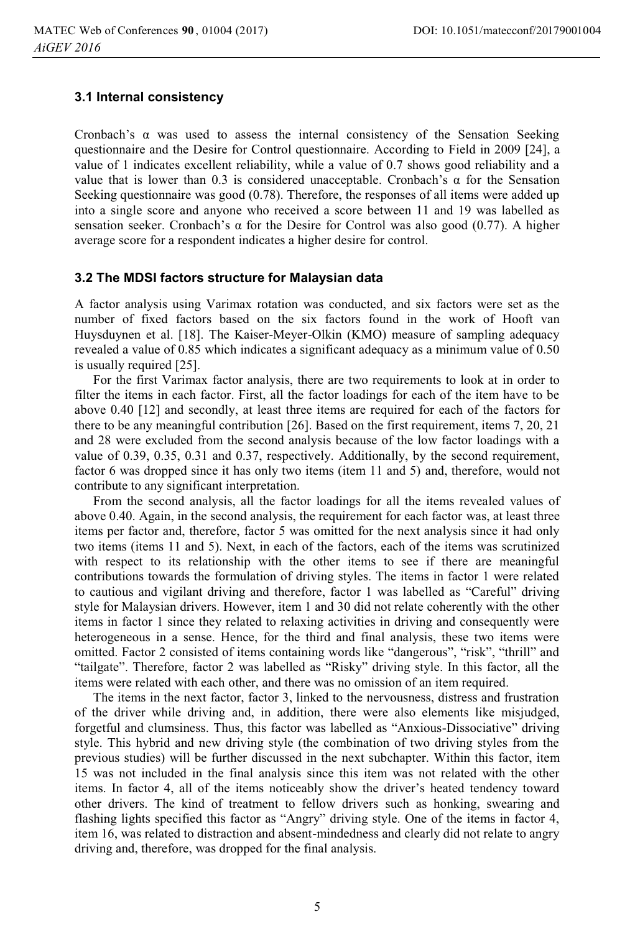#### **3.1 Internal consistency**

Cronbach's  $\alpha$  was used to assess the internal consistency of the Sensation Seeking questionnaire and the Desire for Control questionnaire. According to Field in 2009 [24], a value of 1 indicates excellent reliability, while a value of 0.7 shows good reliability and a value that is lower than 0.3 is considered unacceptable. Cronbach's  $\alpha$  for the Sensation Seeking questionnaire was good (0.78). Therefore, the responses of all items were added up into a single score and anyone who received a score between 11 and 19 was labelled as sensation seeker. Cronbach's  $\alpha$  for the Desire for Control was also good (0.77). A higher average score for a respondent indicates a higher desire for control.

#### **3.2 The MDSI factors structure for Malaysian data**

A factor analysis using Varimax rotation was conducted, and six factors were set as the number of fixed factors based on the six factors found in the work of Hooft van Huysduynen et al. [18]. The Kaiser-Meyer-Olkin (KMO) measure of sampling adequacy revealed a value of 0.85 which indicates a significant adequacy as a minimum value of 0.50 is usually required [25].

For the first Varimax factor analysis, there are two requirements to look at in order to filter the items in each factor. First, all the factor loadings for each of the item have to be above 0.40 [12] and secondly, at least three items are required for each of the factors for there to be any meaningful contribution [26]. Based on the first requirement, items 7, 20, 21 and 28 were excluded from the second analysis because of the low factor loadings with a value of 0.39, 0.35, 0.31 and 0.37, respectively. Additionally, by the second requirement, factor 6 was dropped since it has only two items (item 11 and 5) and, therefore, would not contribute to any significant interpretation.

From the second analysis, all the factor loadings for all the items revealed values of above 0.40. Again, in the second analysis, the requirement for each factor was, at least three items per factor and, therefore, factor 5 was omitted for the next analysis since it had only two items (items 11 and 5). Next, in each of the factors, each of the items was scrutinized with respect to its relationship with the other items to see if there are meaningful contributions towards the formulation of driving styles. The items in factor 1 were related to cautious and vigilant driving and therefore, factor 1 was labelled as "Careful" driving style for Malaysian drivers. However, item 1 and 30 did not relate coherently with the other items in factor 1 since they related to relaxing activities in driving and consequently were heterogeneous in a sense. Hence, for the third and final analysis, these two items were omitted. Factor 2 consisted of items containing words like "dangerous", "risk", "thrill" and "tailgate". Therefore, factor 2 was labelled as "Risky" driving style. In this factor, all the items were related with each other, and there was no omission of an item required.

The items in the next factor, factor 3, linked to the nervousness, distress and frustration of the driver while driving and, in addition, there were also elements like misjudged, forgetful and clumsiness. Thus, this factor was labelled as "Anxious-Dissociative" driving style. This hybrid and new driving style (the combination of two driving styles from the previous studies) will be further discussed in the next subchapter. Within this factor, item 15 was not included in the final analysis since this item was not related with the other items. In factor 4, all of the items noticeably show the driver's heated tendency toward other drivers. The kind of treatment to fellow drivers such as honking, swearing and flashing lights specified this factor as "Angry" driving style. One of the items in factor 4, item 16, was related to distraction and absent-mindedness and clearly did not relate to angry driving and, therefore, was dropped for the final analysis.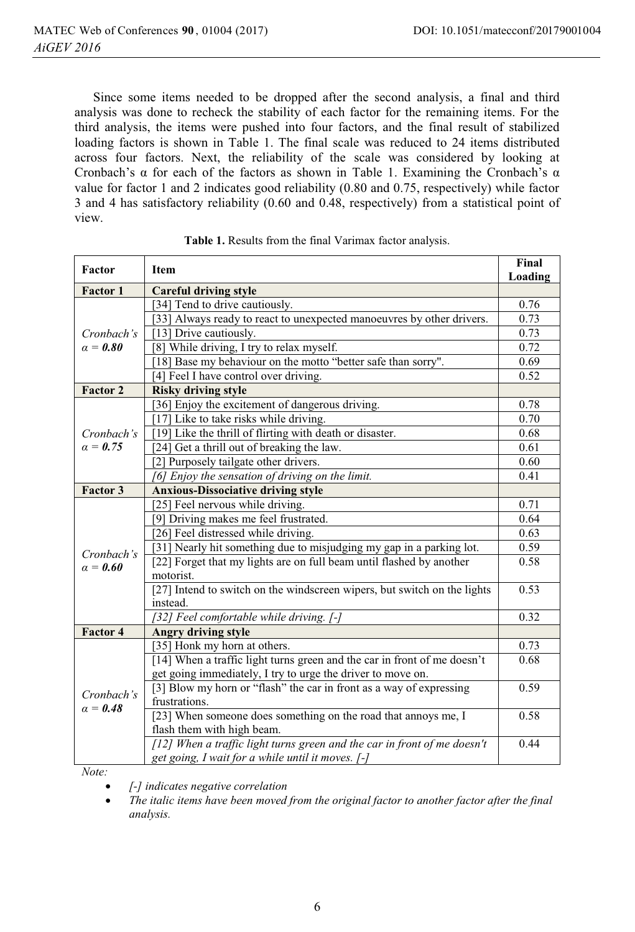Since some items needed to be dropped after the second analysis, a final and third analysis was done to recheck the stability of each factor for the remaining items. For the third analysis, the items were pushed into four factors, and the final result of stabilized loading factors is shown in Table 1. The final scale was reduced to 24 items distributed across four factors. Next, the reliability of the scale was considered by looking at Cronbach's  $\alpha$  for each of the factors as shown in Table 1. Examining the Cronbach's  $\alpha$ value for factor 1 and 2 indicates good reliability (0.80 and 0.75, respectively) while factor 3 and 4 has satisfactory reliability (0.60 and 0.48, respectively) from a statistical point of view.

|                                                                                                                                         | Loading |
|-----------------------------------------------------------------------------------------------------------------------------------------|---------|
| <b>Factor 1</b><br><b>Careful driving style</b>                                                                                         |         |
| [34] Tend to drive cautiously.                                                                                                          | 0.76    |
| [33] Always ready to react to unexpected manoeuvres by other drivers.                                                                   | 0.73    |
| [13] Drive cautiously.<br>Cronbach's                                                                                                    | 0.73    |
| $\alpha = 0.80$<br>8] While driving, I try to relax myself.                                                                             | 0.72    |
| [18] Base my behaviour on the motto "better safe than sorry".                                                                           | 0.69    |
| [4] Feel I have control over driving.                                                                                                   | 0.52    |
| Factor 2<br><b>Risky driving style</b>                                                                                                  |         |
| [36] Enjoy the excitement of dangerous driving.                                                                                         | 0.78    |
| [17] Like to take risks while driving.                                                                                                  | 0.70    |
| [19] Like the thrill of flirting with death or disaster.<br>Cronbach's                                                                  | 0.68    |
| [24] Get a thrill out of breaking the law.<br>$\alpha = 0.75$                                                                           | 0.61    |
| [2] Purposely tailgate other drivers.                                                                                                   | 0.60    |
| [6] Enjoy the sensation of driving on the limit.                                                                                        | 0.41    |
| Factor 3<br><b>Anxious-Dissociative driving style</b>                                                                                   |         |
| [25] Feel nervous while driving.                                                                                                        | 0.71    |
| [9] Driving makes me feel frustrated.                                                                                                   | 0.64    |
| [26] Feel distressed while driving.                                                                                                     | 0.63    |
| [31] Nearly hit something due to misjudging my gap in a parking lot.<br>Cronbach's                                                      | 0.59    |
| [22] Forget that my lights are on full beam until flashed by another<br>$\alpha = 0.60$                                                 | 0.58    |
| motorist.                                                                                                                               |         |
| [27] Intend to switch on the windscreen wipers, but switch on the lights                                                                | 0.53    |
| instead.                                                                                                                                |         |
| [32] Feel comfortable while driving. [-]                                                                                                | 0.32    |
| Factor 4<br><b>Angry driving style</b>                                                                                                  |         |
| [35] Honk my horn at others.                                                                                                            | 0.73    |
| [14] When a traffic light turns green and the car in front of me doesn't<br>get going immediately, I try to urge the driver to move on. | 0.68    |
| [3] Blow my horn or "flash" the car in front as a way of expressing                                                                     | 0.59    |
| Cronbach's<br>frustrations.                                                                                                             |         |
| $a = 0.48$<br>[23] When someone does something on the road that annoys me, I                                                            | 0.58    |
| flash them with high beam.                                                                                                              |         |
| [12] When a traffic light turns green and the car in front of me doesn't                                                                | 0.44    |
| get going, I wait for a while until it moves. [-]                                                                                       |         |

|  | Table 1. Results from the final Varimax factor analysis. |  |  |  |  |
|--|----------------------------------------------------------|--|--|--|--|
|--|----------------------------------------------------------|--|--|--|--|

*Note:*

 $\bullet$ *[-] indicates negative correlation*

- *The italic items have been moved from the original factor to another factor after the final analysis.*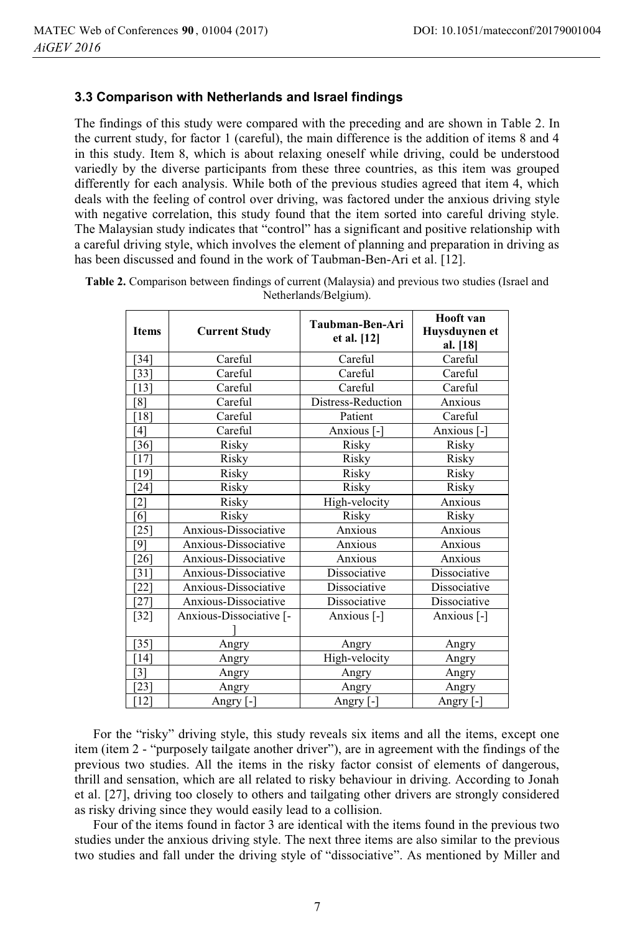#### **3.3 Comparison with Netherlands and Israel findings**

The findings of this study were compared with the preceding and are shown in Table 2. In the current study, for factor 1 (careful), the main difference is the addition of items 8 and 4 in this study. Item 8, which is about relaxing oneself while driving, could be understood variedly by the diverse participants from these three countries, as this item was grouped differently for each analysis. While both of the previous studies agreed that item 4, which deals with the feeling of control over driving, was factored under the anxious driving style with negative correlation, this study found that the item sorted into careful driving style. The Malaysian study indicates that "control" has a significant and positive relationship with a careful driving style, which involves the element of planning and preparation in driving as has been discussed and found in the work of Taubman-Ben-Ari et al. [12].

| <b>Items</b>      | <b>Current Study</b>    | Taubman-Ben-Ari<br>et al. [12] | Hooft van<br>Huysduynen et<br>al. [18] |  |
|-------------------|-------------------------|--------------------------------|----------------------------------------|--|
| [34]              | Careful                 | Careful                        | Careful                                |  |
| [33]              | Careful                 | Careful                        | Careful                                |  |
| [13]              | Careful                 | Careful                        | Careful                                |  |
| 81                | Careful                 | Distress-Reduction             | Anxious                                |  |
| [18]              | Careful                 | Patient                        | Careful                                |  |
| [4]               | Careful                 | Anxious [-]                    | Anxious [-]                            |  |
| [36]              | Risky                   | Risky                          | Risky                                  |  |
| [17]              | Risky                   | Risky                          | Risky                                  |  |
| [19]              | Risky                   | Risky                          | Risky                                  |  |
| $[24]$            | Risky                   | Risky                          | Risky                                  |  |
| $[2]$             | Risky                   | High-velocity                  | Anxious                                |  |
| [6]               | Risky                   | Risky                          | Risky                                  |  |
| $[25]$            | Anxious-Dissociative    | Anxious                        | Anxious                                |  |
| [9]               | Anxious-Dissociative    | Anxious                        | Anxious                                |  |
| $[26]$            | Anxious-Dissociative    | Anxious                        | Anxious                                |  |
| $\left[31\right]$ | Anxious-Dissociative    | Dissociative                   | Dissociative                           |  |
| $[22]$            | Anxious-Dissociative    | Dissociative                   | Dissociative                           |  |
| $[27]$            | Anxious-Dissociative    | Dissociative                   | Dissociative                           |  |
| $[32]$            | Anxious-Dissociative [- | Anxious [-]                    | Anxious [-]                            |  |
| $\left[35\right]$ | Angry                   | Angry                          | Angry                                  |  |
| [14]              | Angry                   | High-velocity                  | Angry                                  |  |
| $[3]$             | Angry                   | Angry                          | Angry                                  |  |
| 231               | Angry                   | Angry                          | Angry                                  |  |
| $[12]$            | Angry [-]               | Angry [-]                      | Angry [-]                              |  |

**Table 2.** Comparison between findings of current (Malaysia) and previous two studies (Israel and Netherlands/Belgium).

For the "risky" driving style, this study reveals six items and all the items, except one item (item 2 - "purposely tailgate another driver"), are in agreement with the findings of the previous two studies. All the items in the risky factor consist of elements of dangerous, thrill and sensation, which are all related to risky behaviour in driving. According to Jonah et al. [27], driving too closely to others and tailgating other drivers are strongly considered as risky driving since they would easily lead to a collision.

Four of the items found in factor 3 are identical with the items found in the previous two studies under the anxious driving style. The next three items are also similar to the previous two studies and fall under the driving style of "dissociative". As mentioned by Miller and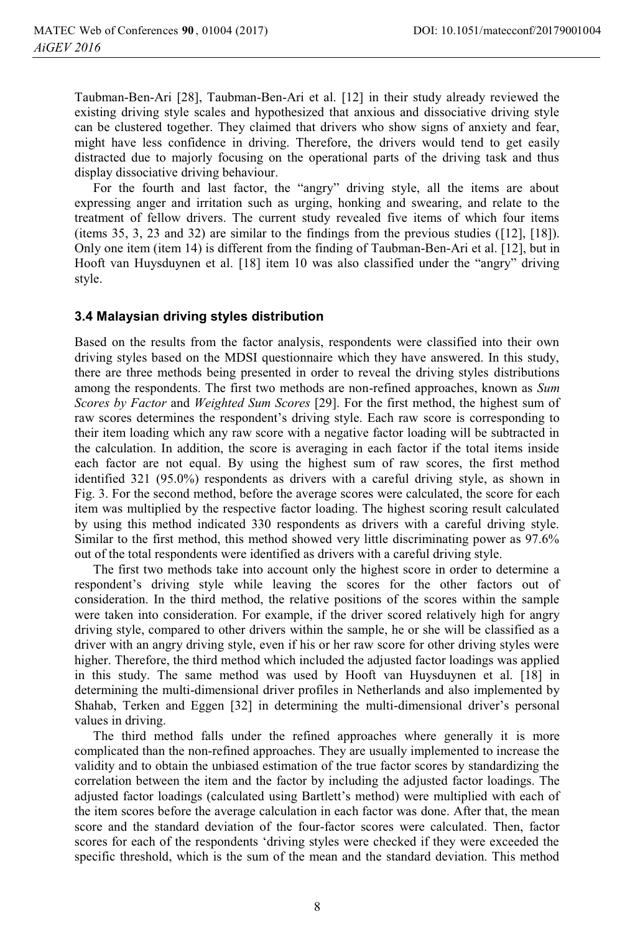Taubman-Ben-Ari [28], Taubman-Ben-Ari et al. [12] in their study already reviewed the existing driving style scales and hypothesized that anxious and dissociative driving style can be clustered together. They claimed that drivers who show signs of anxiety and fear, might have less confidence in driving. Therefore, the drivers would tend to get easily distracted due to majorly focusing on the operational parts of the driving task and thus display dissociative driving behaviour.

For the fourth and last factor, the "angry" driving style, all the items are about expressing anger and irritation such as urging, honking and swearing, and relate to the treatment of fellow drivers. The current study revealed five items of which four items (items 35, 3, 23 and 32) are similar to the findings from the previous studies ([12], [18]). Only one item (item 14) is different from the finding of Taubman-Ben-Ari et al. [12], but in Hooft van Huysduynen et al. [18] item 10 was also classified under the "angry" driving style.

#### **3.4 Malaysian driving styles distribution**

Based on the results from the factor analysis, respondents were classified into their own driving styles based on the MDSI questionnaire which they have answered. In this study, there are three methods being presented in order to reveal the driving styles distributions among the respondents. The first two methods are non-refined approaches, known as *Sum Scores by Factor* and *Weighted Sum Scores* [29]. For the first method, the highest sum of raw scores determines the respondent's driving style. Each raw score is corresponding to their item loading which any raw score with a negative factor loading will be subtracted in the calculation. In addition, the score is averaging in each factor if the total items inside each factor are not equal. By using the highest sum of raw scores, the first method identified 321 (95.0%) respondents as drivers with a careful driving style, as shown in Fig. 3. For the second method, before the average scores were calculated, the score for each item was multiplied by the respective factor loading. The highest scoring result calculated by using this method indicated 330 respondents as drivers with a careful driving style. Similar to the first method, this method showed very little discriminating power as 97.6% out of the total respondents were identified as drivers with a careful driving style.

The first two methods take into account only the highest score in order to determine a respondent's driving style while leaving the scores for the other factors out of consideration. In the third method, the relative positions of the scores within the sample were taken into consideration. For example, if the driver scored relatively high for angry driving style, compared to other drivers within the sample, he or she will be classified as a driver with an angry driving style, even if his or her raw score for other driving styles were higher. Therefore, the third method which included the adjusted factor loadings was applied in this study. The same method was used by Hooft van Huysduynen et al. [18] in determining the multi-dimensional driver profiles in Netherlands and also implemented by Shahab, Terken and Eggen [32] in determining the multi-dimensional driver's personal values in driving.

The third method falls under the refined approaches where generally it is more complicated than the non-refined approaches. They are usually implemented to increase the validity and to obtain the unbiased estimation of the true factor scores by standardizing the correlation between the item and the factor by including the adjusted factor loadings. The adjusted factor loadings (calculated using Bartlett's method) were multiplied with each of the item scores before the average calculation in each factor was done. After that, the mean score and the standard deviation of the four-factor scores were calculated. Then, factor scores for each of the respondents 'driving styles were checked if they were exceeded the specific threshold, which is the sum of the mean and the standard deviation. This method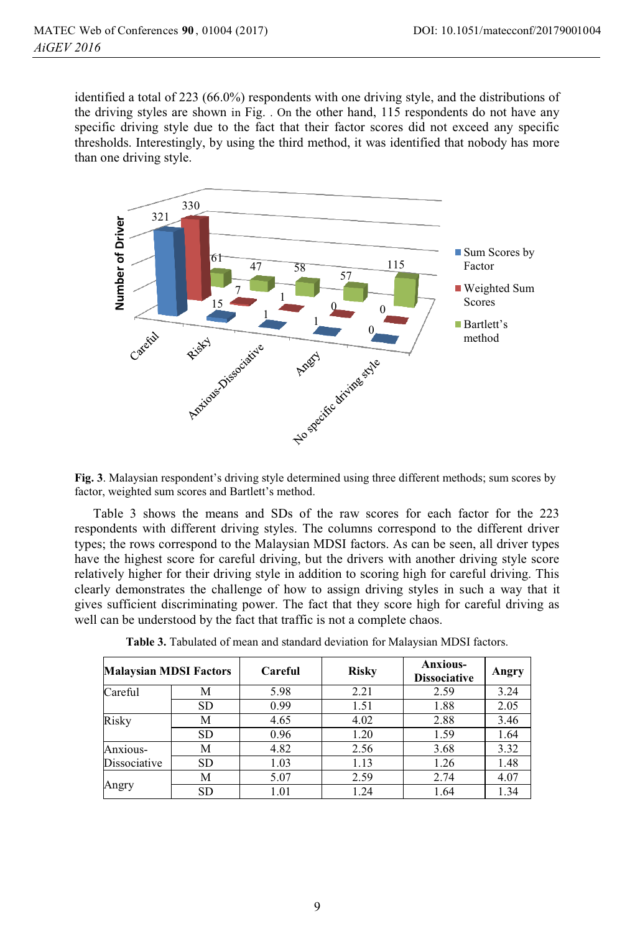identified a total of 223 (66.0%) respondents with one driving style, and the distributions of the driving styles are shown in Fig. . On the other hand, 115 respondents do not have any specific driving style due to the fact that their factor scores did not exceed any specific thresholds. Interestingly, by using the third method, it was identified that nobody has more than one driving style.



**Fig. 3**. Malaysian respondent's driving style determined using three different methods; sum scores by factor, weighted sum scores and Bartlett's method.

Table 3 shows the means and SDs of the raw scores for each factor for the 223 respondents with different driving styles. The columns correspond to the different driver types; the rows correspond to the Malaysian MDSI factors. As can be seen, all driver types have the highest score for careful driving, but the drivers with another driving style score relatively higher for their driving style in addition to scoring high for careful driving. This clearly demonstrates the challenge of how to assign driving styles in such a way that it gives sufficient discriminating power. The fact that they score high for careful driving as well can be understood by the fact that traffic is not a complete chaos.

| <b>Malaysian MDSI Factors</b> |           | Careful | <b>Risky</b> | <b>Anxious-</b><br><b>Dissociative</b> | Angry |
|-------------------------------|-----------|---------|--------------|----------------------------------------|-------|
| Careful                       | М         | 5.98    | 2.21         | 2.59                                   | 3.24  |
|                               | <b>SD</b> | 0.99    | 1.51         | 1.88                                   | 2.05  |
| Risky                         | М         | 4.65    | 4.02         | 2.88                                   | 3.46  |
|                               | <b>SD</b> | 0.96    | 1.20         | 1.59                                   | 1.64  |
| Anxious-                      | М         | 4.82    | 2.56         | 3.68                                   | 3.32  |
| Dissociative                  | <b>SD</b> | 1.03    | 1.13         | 1.26                                   | 1.48  |
| Angry                         | М         | 5.07    | 2.59         | 2.74                                   | 4.07  |
|                               | <b>SD</b> | 1.01    | 1.24         | 1.64                                   | 1.34  |

**Table 3.** Tabulated of mean and standard deviation for Malaysian MDSI factors.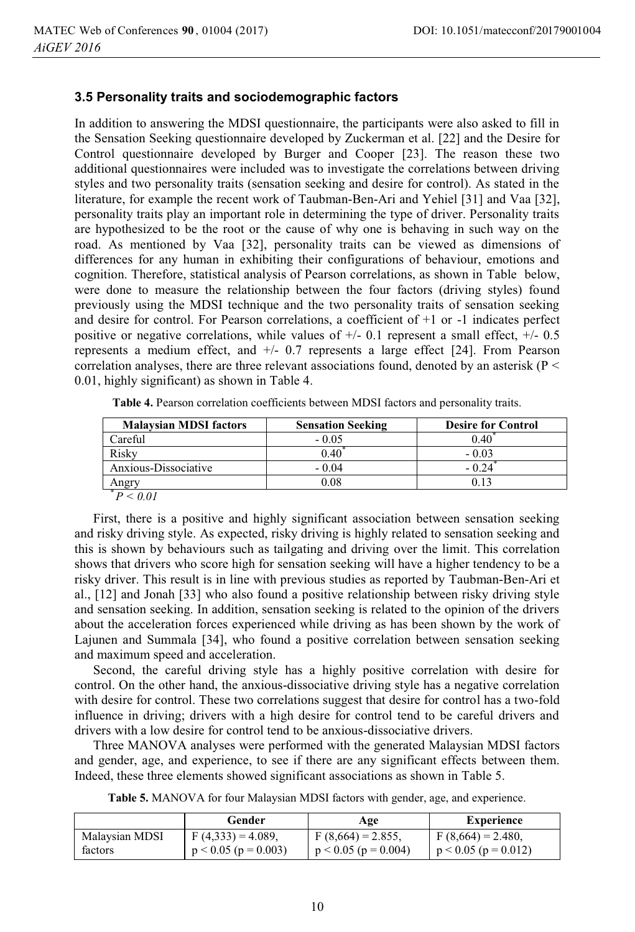#### **3.5 Personality traits and sociodemographic factors**

In addition to answering the MDSI questionnaire, the participants were also asked to fill in the Sensation Seeking questionnaire developed by Zuckerman et al. [22] and the Desire for Control questionnaire developed by Burger and Cooper [23]. The reason these two additional questionnaires were included was to investigate the correlations between driving styles and two personality traits (sensation seeking and desire for control). As stated in the literature, for example the recent work of Taubman-Ben-Ari and Yehiel [31] and Vaa [32], personality traits play an important role in determining the type of driver. Personality traits are hypothesized to be the root or the cause of why one is behaving in such way on the road. As mentioned by Vaa [32], personality traits can be viewed as dimensions of differences for any human in exhibiting their configurations of behaviour, emotions and cognition. Therefore, statistical analysis of Pearson correlations, as shown in Table below, were done to measure the relationship between the four factors (driving styles) found previously using the MDSI technique and the two personality traits of sensation seeking and desire for control. For Pearson correlations, a coefficient of +1 or -1 indicates perfect positive or negative correlations, while values of  $+/$ - 0.1 represent a small effect,  $+/$ - 0.5 represents a medium effect, and +/- 0.7 represents a large effect [24]. From Pearson correlation analyses, there are three relevant associations found, denoted by an asterisk ( $P \leq$ 0.01, highly significant) as shown in Table 4.

| <b>Malaysian MDSI factors</b> | <b>Sensation Seeking</b> | <b>Desire for Control</b> |
|-------------------------------|--------------------------|---------------------------|
| Careful                       | $-0.05$                  |                           |
| Riskv                         | 0.40                     | - 0.03                    |
| Anxious-Dissociative          | $-0.04$                  |                           |
| Angrv                         | 0.08                     |                           |
|                               |                          |                           |

**Table 4.** Pearson correlation coefficients between MDSI factors and personality traits.

First, there is a positive and highly significant association between sensation seeking and risky driving style. As expected, risky driving is highly related to sensation seeking and this is shown by behaviours such as tailgating and driving over the limit. This correlation shows that drivers who score high for sensation seeking will have a higher tendency to be a risky driver. This result is in line with previous studies as reported by Taubman-Ben-Ari et al., [12] and Jonah [33] who also found a positive relationship between risky driving style and sensation seeking. In addition, sensation seeking is related to the opinion of the drivers about the acceleration forces experienced while driving as has been shown by the work of Lajunen and Summala [34], who found a positive correlation between sensation seeking and maximum speed and acceleration.

Second, the careful driving style has a highly positive correlation with desire for control. On the other hand, the anxious-dissociative driving style has a negative correlation with desire for control. These two correlations suggest that desire for control has a two-fold influence in driving; drivers with a high desire for control tend to be careful drivers and drivers with a low desire for control tend to be anxious-dissociative drivers.

Three MANOVA analyses were performed with the generated Malaysian MDSI factors and gender, age, and experience, to see if there are any significant effects between them. Indeed, these three elements showed significant associations as shown in Table 5.

**Table 5.** MANOVA for four Malaysian MDSI factors with gender, age, and experience.

|                | Gender                     | Age                    | Experience             |
|----------------|----------------------------|------------------------|------------------------|
| Malaysian MDSI | $F(4,333) = 4.089$ ,       | $F(8,664) = 2.855$ ,   | $F(8,664) = 2.480,$    |
| factors        | $p < 0.05$ ( $p = 0.003$ ) | $p < 0.05$ (p = 0.004) | $p < 0.05$ (p = 0.012) |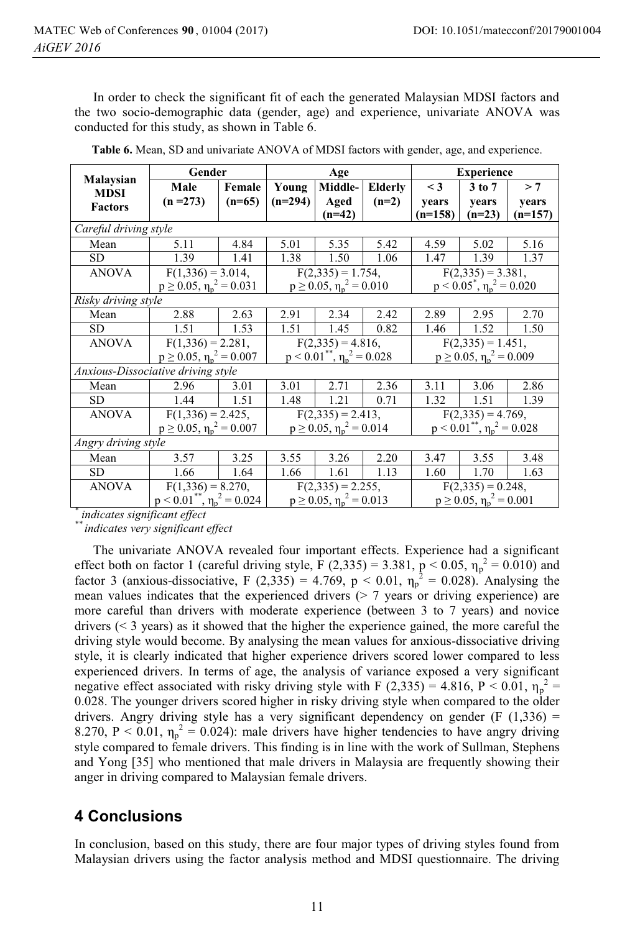In order to check the significant fit of each the generated Malaysian MDSI factors and the two socio-demographic data (gender, age) and experience, univariate ANOVA was conducted for this study, as shown in Table 6.

|                                    | Gender                                        |                                                                        | Age                                           |                      |                                               | <b>Experience</b>    |                      |           |  |
|------------------------------------|-----------------------------------------------|------------------------------------------------------------------------|-----------------------------------------------|----------------------|-----------------------------------------------|----------------------|----------------------|-----------|--|
| Malaysian<br><b>MDSI</b>           | Male                                          | Female                                                                 | Young                                         | Middle-              | <b>Elderly</b>                                | $\leq$ 3             | $3$ to $7$           | > 7       |  |
| <b>Factors</b>                     | $(n = 273)$                                   | $(n=65)$                                                               | $(n=294)$                                     | Aged                 | $(n=2)$                                       | vears                | years                | years     |  |
|                                    |                                               |                                                                        |                                               | $(n=42)$             |                                               | $(n=158)$            | $(n=23)$             | $(n=157)$ |  |
| Careful driving style              |                                               |                                                                        |                                               |                      |                                               |                      |                      |           |  |
| Mean                               | 5.11                                          | 4.84                                                                   | 5.01                                          | 5.35                 | 5.42                                          | 4.59                 | 5.02                 | 5.16      |  |
| SD.                                | 1.39                                          | 1.41                                                                   | 1.38                                          | 1.50                 | 1.06                                          | 1.47                 | 1.39                 | 1.37      |  |
| <b>ANOVA</b>                       | $F(1,336) = 3.014,$                           |                                                                        |                                               | $F(2,335) = 1.754,$  |                                               | $F(2,335) = 3.381$ , |                      |           |  |
|                                    |                                               | $p \ge 0.05$ , $\eta_n^2 = 0.010$<br>$p \ge 0.05$ , $\eta_n^2 = 0.031$ |                                               |                      | $p < 0.05^*$ , $\eta_n^2 = 0.020$             |                      |                      |           |  |
| Risky driving style                |                                               |                                                                        |                                               |                      |                                               |                      |                      |           |  |
| Mean                               | 2.88                                          | 2.63                                                                   | 2.91                                          | 2.34                 | 2.42                                          | 2.89                 | 2.95                 | 2.70      |  |
| <b>SD</b>                          | 1.51                                          | 1.53                                                                   | 1.51                                          | 1.45                 | 0.82                                          | 1.46                 | 1.52                 | 1.50      |  |
| <b>ANOVA</b>                       |                                               | $F(1,336) = 2.281$ ,                                                   |                                               | $F(2,335) = 4.816,$  |                                               |                      | $F(2,335) = 1.451$ , |           |  |
|                                    | $p \ge 0.05$ , $\eta_p^2 = 0.007$             |                                                                        | $p < 0.01$ <sup>**</sup> , $\eta_p^2 = 0.028$ |                      | $p \ge 0.05$ , $\eta_p^2 = 0.009$             |                      |                      |           |  |
| Anxious-Dissociative driving style |                                               |                                                                        |                                               |                      |                                               |                      |                      |           |  |
| Mean                               | 2.96                                          | 3.01                                                                   | 3.01                                          | 2.71                 | 2.36                                          | 3.11                 | 3.06                 | 2.86      |  |
| SD                                 | 1.44                                          | 1.51                                                                   | 1.48                                          | 1.21                 | 0.71                                          | 1.32                 | 1.51                 | 1.39      |  |
| <b>ANOVA</b>                       | $F(1,336) = 2.425,$                           |                                                                        | $F(2,335) = 2.413$ ,                          |                      | $F(2,335) = 4.769$ ,                          |                      |                      |           |  |
|                                    | $p \ge 0.05$ , $\eta_p^2 = 0.007$             |                                                                        | $p \ge 0.05, \eta_p^2 = 0.014$                |                      | $p < 0.01$ <sup>**</sup> , $\eta_p^2 = 0.028$ |                      |                      |           |  |
| Angry driving style                |                                               |                                                                        |                                               |                      |                                               |                      |                      |           |  |
| Mean                               | 3.57                                          | 3.25                                                                   | 3.55                                          | 3.26                 | 2.20                                          | 3.47                 | 3.55                 | 3.48      |  |
| <b>SD</b>                          | 1.66                                          | 1.64                                                                   | 1.66                                          | 1.61                 | 1.13                                          | 1.60                 | 1.70                 | 1.63      |  |
| <b>ANOVA</b>                       | $F(1,336) = 8.270,$                           |                                                                        |                                               | $F(2,335) = 2.255$ , |                                               | $F(2,335) = 0.248$ , |                      |           |  |
|                                    | $p < 0.01$ <sup>**</sup> , $\eta_p^2 = 0.024$ |                                                                        | $p \ge 0.05$ , $\eta_p^2 = 0.013$             |                      | $p \ge 0.05$ , $\eta_p^2 = 0.001$             |                      |                      |           |  |

| Table 6. Mean, SD and univariate ANOVA of MDSI factors with gender, age, and experience. |  |
|------------------------------------------------------------------------------------------|--|
|------------------------------------------------------------------------------------------|--|

*\* indicates significant effect* 

*\*\* indicates very significant effect*

The univariate ANOVA revealed four important effects. Experience had a significant effect both on factor 1 (careful driving style,  $\bar{F}(2,335) = 3.381$ ,  $\bar{p} < 0.05$ ,  $\eta_p^2 = 0.010$ ) and factor 3 (anxious-dissociative, F (2,335) = 4.769, p < 0.01,  $\eta_p^2 = 0.028$ ). Analysing the mean values indicates that the experienced drivers  $(2, 7)$  years or driving experience) are more careful than drivers with moderate experience (between 3 to 7 years) and novice drivers (< 3 years) as it showed that the higher the experience gained, the more careful the driving style would become. By analysing the mean values for anxious-dissociative driving style, it is clearly indicated that higher experience drivers scored lower compared to less experienced drivers. In terms of age, the analysis of variance exposed a very significant negative effect associated with risky driving style with F (2,335) = 4.816, P < 0.01,  $\eta_p^2$  = 0.028. The younger drivers scored higher in risky driving style when compared to the older drivers. Angry driving style has a very significant dependency on gender (F  $(1,336)$ ) = 8.270, P < 0.01,  $\eta_p^2 = 0.024$ ): male drivers have higher tendencies to have angry driving style compared to female drivers. This finding is in line with the work of Sullman, Stephens and Yong [35] who mentioned that male drivers in Malaysia are frequently showing their anger in driving compared to Malaysian female drivers.

# **4 Conclusions**

In conclusion, based on this study, there are four major types of driving styles found from Malaysian drivers using the factor analysis method and MDSI questionnaire. The driving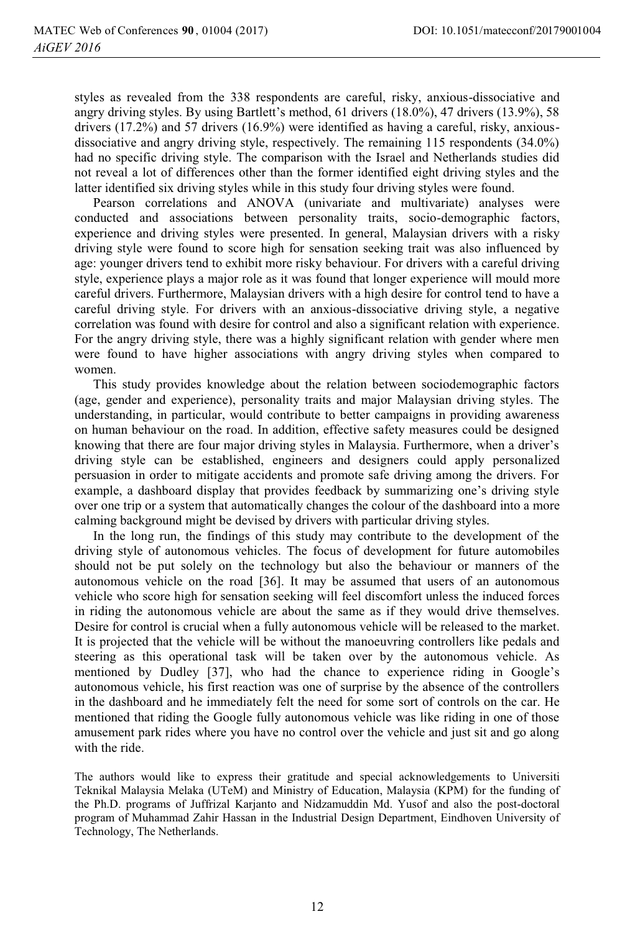styles as revealed from the 338 respondents are careful, risky, anxious-dissociative and angry driving styles. By using Bartlett's method, 61 drivers (18.0%), 47 drivers (13.9%), 58 drivers (17.2%) and 57 drivers (16.9%) were identified as having a careful, risky, anxiousdissociative and angry driving style, respectively. The remaining 115 respondents (34.0%) had no specific driving style. The comparison with the Israel and Netherlands studies did not reveal a lot of differences other than the former identified eight driving styles and the latter identified six driving styles while in this study four driving styles were found.

Pearson correlations and ANOVA (univariate and multivariate) analyses were conducted and associations between personality traits, socio-demographic factors, experience and driving styles were presented. In general, Malaysian drivers with a risky driving style were found to score high for sensation seeking trait was also influenced by age: younger drivers tend to exhibit more risky behaviour. For drivers with a careful driving style, experience plays a major role as it was found that longer experience will mould more careful drivers. Furthermore, Malaysian drivers with a high desire for control tend to have a careful driving style. For drivers with an anxious-dissociative driving style, a negative correlation was found with desire for control and also a significant relation with experience. For the angry driving style, there was a highly significant relation with gender where men were found to have higher associations with angry driving styles when compared to women.

This study provides knowledge about the relation between sociodemographic factors (age, gender and experience), personality traits and major Malaysian driving styles. The understanding, in particular, would contribute to better campaigns in providing awareness on human behaviour on the road. In addition, effective safety measures could be designed knowing that there are four major driving styles in Malaysia. Furthermore, when a driver's driving style can be established, engineers and designers could apply personalized persuasion in order to mitigate accidents and promote safe driving among the drivers. For example, a dashboard display that provides feedback by summarizing one's driving style over one trip or a system that automatically changes the colour of the dashboard into a more calming background might be devised by drivers with particular driving styles.

In the long run, the findings of this study may contribute to the development of the driving style of autonomous vehicles. The focus of development for future automobiles should not be put solely on the technology but also the behaviour or manners of the autonomous vehicle on the road [36]. It may be assumed that users of an autonomous vehicle who score high for sensation seeking will feel discomfort unless the induced forces in riding the autonomous vehicle are about the same as if they would drive themselves. Desire for control is crucial when a fully autonomous vehicle will be released to the market. It is projected that the vehicle will be without the manoeuvring controllers like pedals and steering as this operational task will be taken over by the autonomous vehicle. As mentioned by Dudley [37], who had the chance to experience riding in Google's autonomous vehicle, his first reaction was one of surprise by the absence of the controllers in the dashboard and he immediately felt the need for some sort of controls on the car. He mentioned that riding the Google fully autonomous vehicle was like riding in one of those amusement park rides where you have no control over the vehicle and just sit and go along with the ride.

The authors would like to express their gratitude and special acknowledgements to Universiti Teknikal Malaysia Melaka (UTeM) and Ministry of Education, Malaysia (KPM) for the funding of the Ph.D. programs of Juffrizal Karjanto and Nidzamuddin Md. Yusof and also the post-doctoral program of Muhammad Zahir Hassan in the Industrial Design Department, Eindhoven University of Technology, The Netherlands.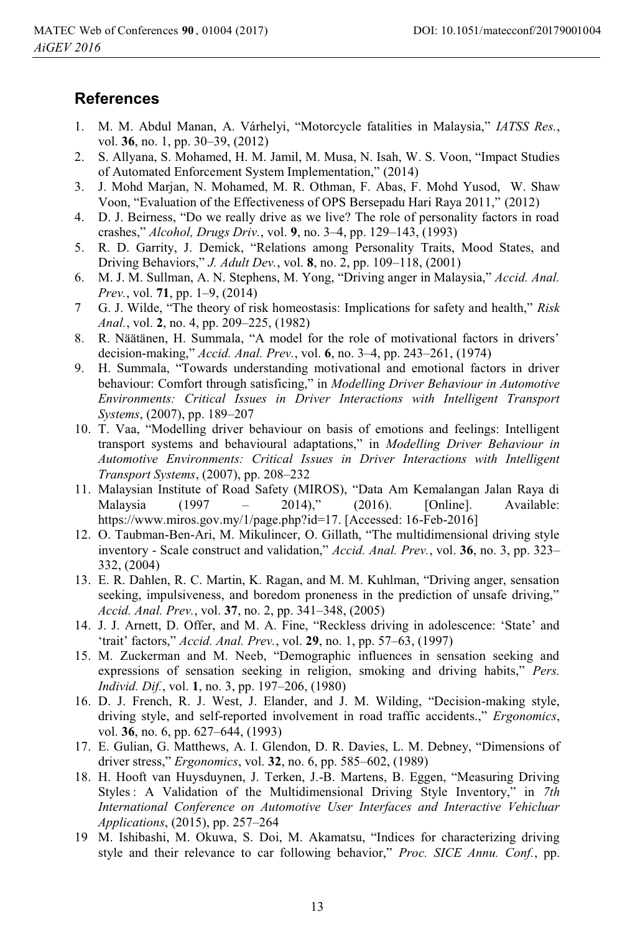### **References**

- 1. M. M. Abdul Manan, A. Várhelyi, "Motorcycle fatalities in Malaysia," *IATSS Res.*, vol. **36**, no. 1, pp. 30–39, (2012)
- 2. S. Allyana, S. Mohamed, H. M. Jamil, M. Musa, N. Isah, W. S. Voon, "Impact Studies of Automated Enforcement System Implementation," (2014)
- 3. J. Mohd Marjan, N. Mohamed, M. R. Othman, F. Abas, F. Mohd Yusod, W. Shaw Voon, "Evaluation of the Effectiveness of OPS Bersepadu Hari Raya 2011," (2012)
- 4. D. J. Beirness, "Do we really drive as we live? The role of personality factors in road crashes," *Alcohol, Drugs Driv.*, vol. **9**, no. 3–4, pp. 129–143, (1993)
- 5. R. D. Garrity, J. Demick, "Relations among Personality Traits, Mood States, and Driving Behaviors," *J. Adult Dev.*, vol. **8**, no. 2, pp. 109–118, (2001)
- 6. M. J. M. Sullman, A. N. Stephens, M. Yong, "Driving anger in Malaysia," *Accid. Anal. Prev.*, vol. **71**, pp. 1–9, (2014)
- 7 G. J. Wilde, "The theory of risk homeostasis: Implications for safety and health," *Risk Anal.*, vol. **2**, no. 4, pp. 209–225, (1982)
- 8. R. Näätänen, H. Summala, "A model for the role of motivational factors in drivers' decision-making," *Accid. Anal. Prev.*, vol. **6**, no. 3–4, pp. 243–261, (1974)
- 9. H. Summala, "Towards understanding motivational and emotional factors in driver behaviour: Comfort through satisficing," in *Modelling Driver Behaviour in Automotive Environments: Critical Issues in Driver Interactions with Intelligent Transport Systems*, (2007), pp. 189–207
- 10. T. Vaa, "Modelling driver behaviour on basis of emotions and feelings: Intelligent transport systems and behavioural adaptations," in *Modelling Driver Behaviour in Automotive Environments: Critical Issues in Driver Interactions with Intelligent Transport Systems*, (2007), pp. 208–232
- 11. Malaysian Institute of Road Safety (MIROS), "Data Am Kemalangan Jalan Raya di Malaysia (1997 – 2014)," (2016). [Online]. Available: https://www.miros.gov.my/1/page.php?id=17. [Accessed: 16-Feb-2016]
- 12. O. Taubman-Ben-Ari, M. Mikulincer, O. Gillath, "The multidimensional driving style inventory - Scale construct and validation," *Accid. Anal. Prev.*, vol. **36**, no. 3, pp. 323– 332, (2004)
- 13. E. R. Dahlen, R. C. Martin, K. Ragan, and M. M. Kuhlman, "Driving anger, sensation seeking, impulsiveness, and boredom proneness in the prediction of unsafe driving," *Accid. Anal. Prev.*, vol. **37**, no. 2, pp. 341–348, (2005)
- 14. J. J. Arnett, D. Offer, and M. A. Fine, "Reckless driving in adolescence: 'State' and 'trait' factors," *Accid. Anal. Prev.*, vol. **29**, no. 1, pp. 57–63, (1997)
- 15. M. Zuckerman and M. Neeb, "Demographic influences in sensation seeking and expressions of sensation seeking in religion, smoking and driving habits," *Pers. Individ. Dif.*, vol. **1**, no. 3, pp. 197–206, (1980)
- 16. D. J. French, R. J. West, J. Elander, and J. M. Wilding, "Decision-making style, driving style, and self-reported involvement in road traffic accidents.," *Ergonomics*, vol. **36**, no. 6, pp. 627–644, (1993)
- 17. E. Gulian, G. Matthews, A. I. Glendon, D. R. Davies, L. M. Debney, "Dimensions of driver stress," *Ergonomics*, vol. **32**, no. 6, pp. 585–602, (1989)
- 18. H. Hooft van Huysduynen, J. Terken, J.-B. Martens, B. Eggen, "Measuring Driving Styles : A Validation of the Multidimensional Driving Style Inventory," in *7th International Conference on Automotive User Interfaces and Interactive Vehicluar Applications*, (2015), pp. 257–264
- 19 M. Ishibashi, M. Okuwa, S. Doi, M. Akamatsu, "Indices for characterizing driving style and their relevance to car following behavior," *Proc. SICE Annu. Conf.*, pp.